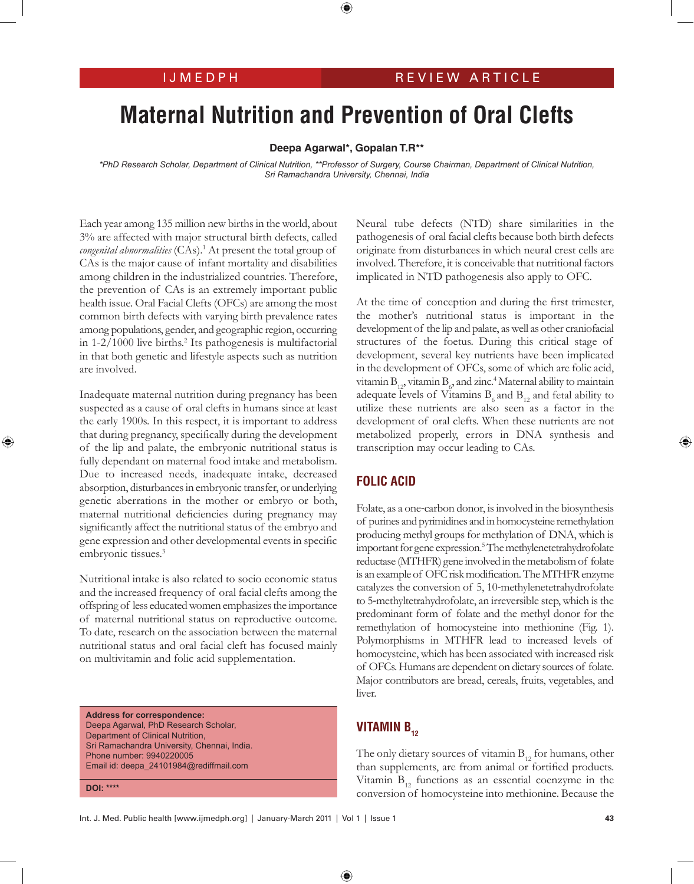# **Maternal Nutrition and Prevention of Oral Clefts**

**Deepa Agarwal\*, Gopalan T.R\*\***

*\*PhD Research Scholar, Department of Clinical Nutrition, \*\*Professor of Surgery, Course Chairman, Department of Clinical Nutrition, Sri Ramachandra University, Chennai, India*

Each year among 135 million new births in the world, about 3% are affected with major structural birth defects, called congenital abnormalities (CAs).<sup>1</sup> At present the total group of CAs is the major cause of infant mortality and disabilities among children in the industrialized countries. Therefore, the prevention of CAs is an extremely important public health issue. Oral Facial Clefts (OFCs) are among the most common birth defects with varying birth prevalence rates among populations, gender, and geographic region, occurring in 1-2/1000 live births.<sup>2</sup> Its pathogenesis is multifactorial in that both genetic and lifestyle aspects such as nutrition are involved.

Inadequate maternal nutrition during pregnancy has been suspected as a cause of oral clefts in humans since at least the early 1900s. In this respect, it is important to address that during pregnancy, specifically during the development of the lip and palate, the embryonic nutritional status is fully dependant on maternal food intake and metabolism. Due to increased needs, inadequate intake, decreased absorption, disturbances in embryonic transfer, or underlying genetic aberrations in the mother or embryo or both, maternal nutritional deficiencies during pregnancy may significantly affect the nutritional status of the embryo and gene expression and other developmental events in specific embryonic tissues.<sup>3</sup>

Nutritional intake is also related to socio economic status and the increased frequency of oral facial clefts among the offspring of less educated women emphasizes the importance of maternal nutritional status on reproductive outcome. To date, research on the association between the maternal nutritional status and oral facial cleft has focused mainly on multivitamin and folic acid supplementation.

**Address for correspondence:** Deepa Agarwal, PhD Research Scholar, Department of Clinical Nutrition, Sri Ramachandra University, Chennai, India. Phone number: 9940220005 Email id: deepa\_24101984@rediffmail.com

**DOI: \*\*\*\***

Neural tube defects (NTD) share similarities in the pathogenesis of oral facial clefts because both birth defects originate from disturbances in which neural crest cells are involved. Therefore, it is conceivable that nutritional factors implicated in NTD pathogenesis also apply to OFC.

At the time of conception and during the first trimester, the mother's nutritional status is important in the development of the lip and palate, as well as other craniofacial structures of the foetus. During this critical stage of development, several key nutrients have been implicated in the development of OFCs, some of which are folic acid, vitamin  $B_{12}$ , vitamin  $B_6$ , and zinc.<sup>4</sup> Maternal ability to maintain adequate levels of Vitamins  $B_6$  and  $B_{12}$  and fetal ability to utilize these nutrients are also seen as a factor in the development of oral clefts. When these nutrients are not metabolized properly, errors in DNA synthesis and transcription may occur leading to CAs.

## **Folic Acid**

Folate, as a one-carbon donor, is involved in the biosynthesis of purines and pyrimidines and in homocysteine remethylation producing methyl groups for methylation of DNA, which is important for gene expression.5 The methylenetetrahydrofolate reductase (MTHFR) gene involved in the metabolism of folate is an example of OFC risk modification. The MTHFR enzyme catalyzes the conversion of 5, 10-methylenetetrahydrofolate to 5-methyltetrahydrofolate, an irreversible step, which is the predominant form of folate and the methyl donor for the remethylation of homocysteine into methionine (Fig. 1). Polymorphisms in MTHFR lead to increased levels of homocysteine, which has been associated with increased risk of OFCs. Humans are dependent on dietary sources of folate. Major contributors are bread, cereals, fruits, vegetables, and liver.

# **VITAMIN B<sub>12</sub>**

The only dietary sources of vitamin  $B_{12}$  for humans, other than supplements, are from animal or fortified products. Vitamin  $B_{12}$  functions as an essential coenzyme in the conversion of homocysteine into methionine. Because the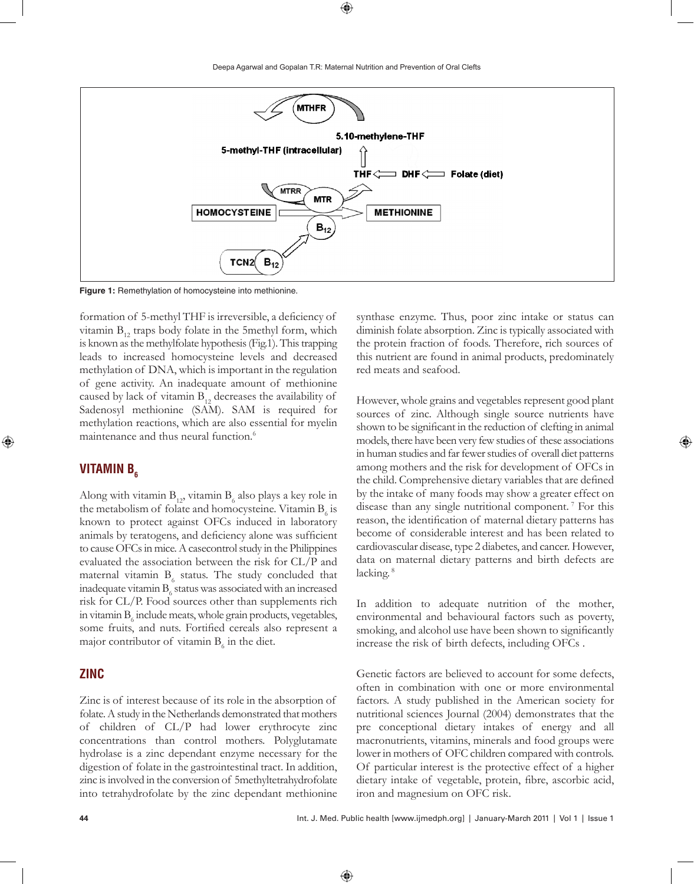

**Figure 1:** Remethylation of homocysteine into methionine.

formation of 5-methyl THF is irreversible, a deficiency of vitamin  $B_{12}$  traps body folate in the 5methyl form, which is known as the methylfolate hypothesis (Fig.1). This trapping leads to increased homocysteine levels and decreased methylation of DNA, which is important in the regulation of gene activity. An inadequate amount of methionine caused by lack of vitamin  $B_{12}$  decreases the availability of Sadenosyl methionine (SAM). SAM is required for methylation reactions, which are also essential for myelin maintenance and thus neural function.<sup>6</sup>

### **VITAMIN B<sub>6</sub>**

Along with vitamin  $\mathrm{B_{_{12}}}$  vitamin  $\mathrm{B_{_6}}$  also plays a key role in the metabolism of folate and homocysteine. Vitamin  $B_{\delta}$  is known to protect against OFCs induced in laboratory animals by teratogens, and deficiency alone was sufficient to cause OFCs in mice. A casecontrol study in the Philippines evaluated the association between the risk for CL/P and maternal vitamin  $B_6$  status. The study concluded that inadequate vitamin  $\mathrm B_6$  status was associated with an increased risk for CL/P. Food sources other than supplements rich in vitamin  $B_6$  include meats, whole grain products, vegetables, some fruits, and nuts. Fortified cereals also represent a major contributor of vitamin  $B_6$  in the diet.

#### **Zinc**

Zinc is of interest because of its role in the absorption of folate. A study in the Netherlands demonstrated that mothers of children of CL/P had lower erythrocyte zinc concentrations than control mothers. Polyglutamate hydrolase is a zinc dependant enzyme necessary for the digestion of folate in the gastrointestinal tract. In addition, zinc is involved in the conversion of 5methyltetrahydrofolate into tetrahydrofolate by the zinc dependant methionine

synthase enzyme. Thus, poor zinc intake or status can diminish folate absorption. Zinc is typically associated with the protein fraction of foods. Therefore, rich sources of this nutrient are found in animal products, predominately red meats and seafood.

However, whole grains and vegetables represent good plant sources of zinc. Although single source nutrients have shown to be significant in the reduction of clefting in animal models, there have been very few studies of these associations in human studies and far fewer studies of overall diet patterns among mothers and the risk for development of OFCs in the child. Comprehensive dietary variables that are defined by the intake of many foods may show a greater effect on disease than any single nutritional component. 7 For this reason, the identification of maternal dietary patterns has become of considerable interest and has been related to cardiovascular disease, type 2 diabetes, and cancer. However, data on maternal dietary patterns and birth defects are lacking.<sup>8</sup>

In addition to adequate nutrition of the mother, environmental and behavioural factors such as poverty, smoking, and alcohol use have been shown to significantly increase the risk of birth defects, including OFCs .

Genetic factors are believed to account for some defects, often in combination with one or more environmental factors. A study published in the American society for nutritional sciences Journal (2004) demonstrates that the pre conceptional dietary intakes of energy and all macronutrients, vitamins, minerals and food groups were lower in mothers of OFC children compared with controls. Of particular interest is the protective effect of a higher dietary intake of vegetable, protein, fibre, ascorbic acid, iron and magnesium on OFC risk.